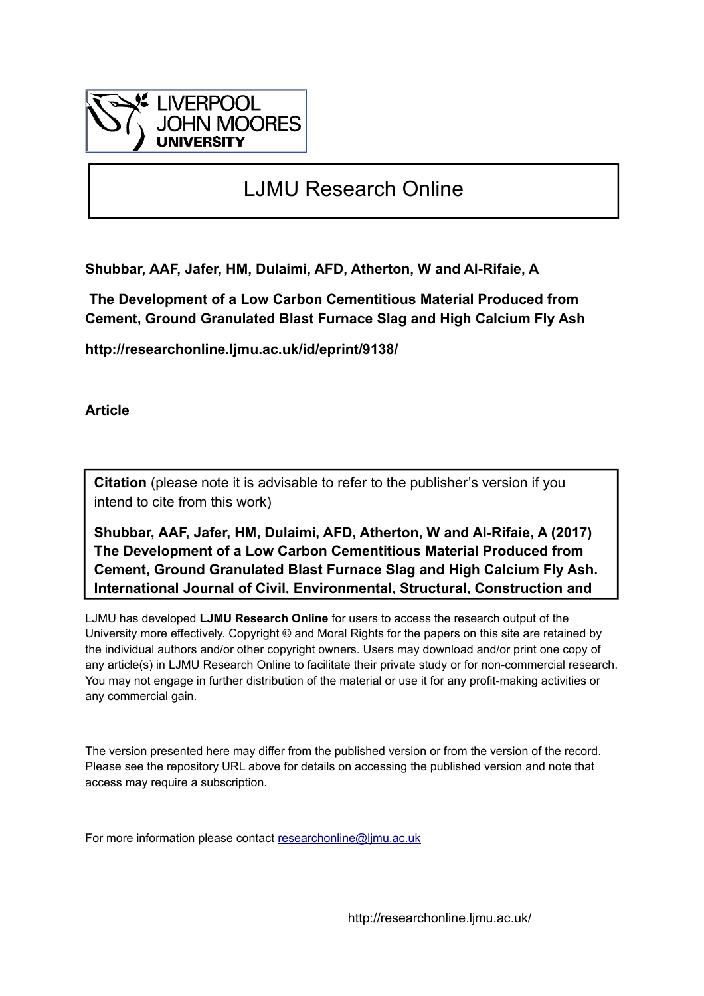

# LJMU Research Online

**Shubbar, AAF, Jafer, HM, Dulaimi, AFD, Atherton, W and Al-Rifaie, A**

 **The Development of a Low Carbon Cementitious Material Produced from Cement, Ground Granulated Blast Furnace Slag and High Calcium Fly Ash**

**http://researchonline.ljmu.ac.uk/id/eprint/9138/**

**Article**

**Citation** (please note it is advisable to refer to the publisher's version if you intend to cite from this work)

**Shubbar, AAF, Jafer, HM, Dulaimi, AFD, Atherton, W and Al-Rifaie, A (2017) The Development of a Low Carbon Cementitious Material Produced from Cement, Ground Granulated Blast Furnace Slag and High Calcium Fly Ash. International Journal of Civil, Environmental, Structural, Construction and** 

LJMU has developed **[LJMU Research Online](http://researchonline.ljmu.ac.uk/)** for users to access the research output of the University more effectively. Copyright © and Moral Rights for the papers on this site are retained by the individual authors and/or other copyright owners. Users may download and/or print one copy of any article(s) in LJMU Research Online to facilitate their private study or for non-commercial research. You may not engage in further distribution of the material or use it for any profit-making activities or any commercial gain.

The version presented here may differ from the published version or from the version of the record. Please see the repository URL above for details on accessing the published version and note that access may require a subscription.

For more information please contact [researchonline@ljmu.ac.uk](mailto:researchonline@ljmu.ac.uk)

http://researchonline.ljmu.ac.uk/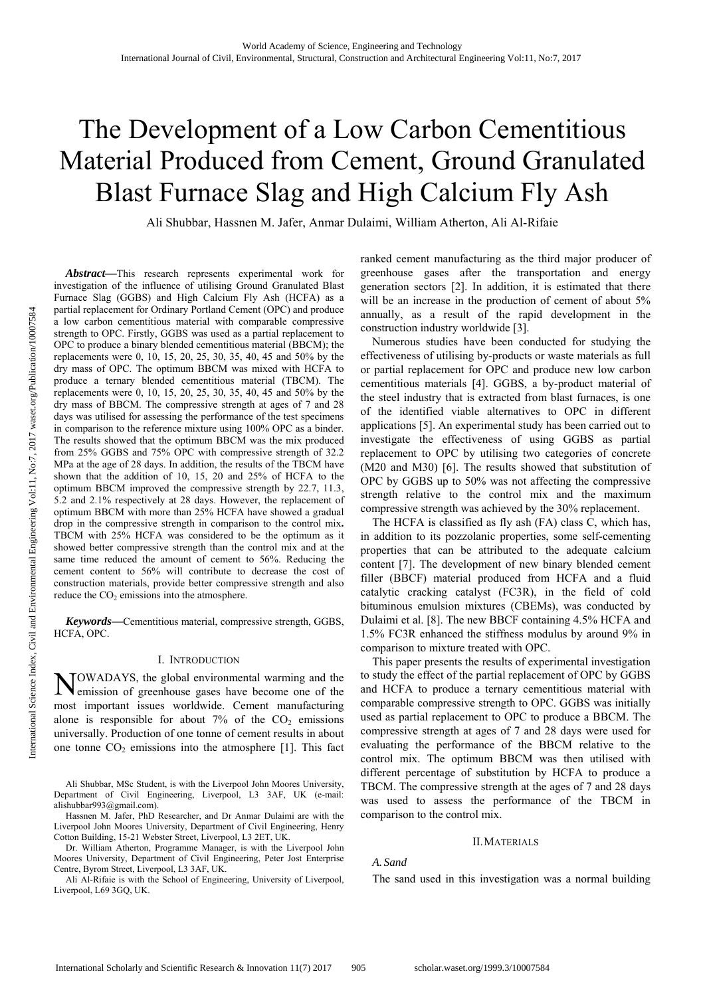# The Development of a Low Carbon Cementitious Material Produced from Cement, Ground Granulated Blast Furnace Slag and High Calcium Fly Ash

Ali Shubbar, Hassnen M. Jafer, Anmar Dulaimi, William Atherton, Ali Al-Rifaie

*Abstract***—**This research represents experimental work for investigation of the influence of utilising Ground Granulated Blast Furnace Slag (GGBS) and High Calcium Fly Ash (HCFA) as a partial replacement for Ordinary Portland Cement (OPC) and produce a low carbon cementitious material with comparable compressive strength to OPC. Firstly, GGBS was used as a partial replacement to OPC to produce a binary blended cementitious material (BBCM); the replacements were 0, 10, 15, 20, 25, 30, 35, 40, 45 and 50% by the dry mass of OPC. The optimum BBCM was mixed with HCFA to produce a ternary blended cementitious material (TBCM). The replacements were 0, 10, 15, 20, 25, 30, 35, 40, 45 and 50% by the dry mass of BBCM. The compressive strength at ages of 7 and 28 days was utilised for assessing the performance of the test specimens in comparison to the reference mixture using 100% OPC as a binder. The results showed that the optimum BBCM was the mix produced from 25% GGBS and 75% OPC with compressive strength of 32.2 MPa at the age of 28 days. In addition, the results of the TBCM have shown that the addition of 10, 15, 20 and 25% of HCFA to the optimum BBCM improved the compressive strength by 22.7, 11.3, 5.2 and 2.1% respectively at 28 days. However, the replacement of optimum BBCM with more than 25% HCFA have showed a gradual drop in the compressive strength in comparison to the control mix**.**  TBCM with 25% HCFA was considered to be the optimum as it showed better compressive strength than the control mix and at the same time reduced the amount of cement to 56%. Reducing the cement content to 56% will contribute to decrease the cost of construction materials, provide better compressive strength and also reduce the  $CO<sub>2</sub>$  emissions into the atmosphere.

*Keywords***—**Cementitious material, compressive strength, GGBS, HCFA, OPC.

#### I. INTRODUCTION

OWADAYS, the global environmental warming and the NOWADAYS, the global environmental warming and the emission of greenhouse gases have become one of the most important issues worldwide. Cement manufacturing alone is responsible for about  $7\%$  of the  $CO<sub>2</sub>$  emissions universally. Production of one tonne of cement results in about one tonne  $CO<sub>2</sub>$  emissions into the atmosphere [1]. This fact

Ali Shubbar, MSc Student, is with the Liverpool John Moores University, Department of Civil Engineering, Liverpool, L3 3AF, UK (e-mail: alishubbar993@gmail.com).

Hassnen M. Jafer, PhD Researcher, and Dr Anmar Dulaimi are with the Liverpool John Moores University, Department of Civil Engineering, Henry Cotton Building, 15-21 Webster Street, Liverpool, L3 2ET, UK.

Dr. William Atherton, Programme Manager, is with the Liverpool John Moores University, Department of Civil Engineering, Peter Jost Enterprise Centre, Byrom Street, Liverpool, L3 3AF, UK.

Ali Al-Rifaie is with the School of Engineering, University of Liverpool, Liverpool, L69 3GQ, UK.

ranked cement manufacturing as the third major producer of greenhouse gases after the transportation and energy generation sectors [2]. In addition, it is estimated that there will be an increase in the production of cement of about 5% annually, as a result of the rapid development in the construction industry worldwide [3].

Numerous studies have been conducted for studying the effectiveness of utilising by-products or waste materials as full or partial replacement for OPC and produce new low carbon cementitious materials [4]. GGBS, a by-product material of the steel industry that is extracted from blast furnaces, is one of the identified viable alternatives to OPC in different applications [5]. An experimental study has been carried out to investigate the effectiveness of using GGBS as partial replacement to OPC by utilising two categories of concrete (M20 and M30) [6]. The results showed that substitution of OPC by GGBS up to 50% was not affecting the compressive strength relative to the control mix and the maximum compressive strength was achieved by the 30% replacement.

The HCFA is classified as fly ash (FA) class C, which has, in addition to its pozzolanic properties, some self-cementing properties that can be attributed to the adequate calcium content [7]. The development of new binary blended cement filler (BBCF) material produced from HCFA and a fluid catalytic cracking catalyst (FC3R), in the field of cold bituminous emulsion mixtures (CBEMs), was conducted by Dulaimi et al. [8]. The new BBCF containing 4.5% HCFA and 1.5% FC3R enhanced the stiffness modulus by around 9% in comparison to mixture treated with OPC.

This paper presents the results of experimental investigation to study the effect of the partial replacement of OPC by GGBS and HCFA to produce a ternary cementitious material with comparable compressive strength to OPC. GGBS was initially used as partial replacement to OPC to produce a BBCM. The compressive strength at ages of 7 and 28 days were used for evaluating the performance of the BBCM relative to the control mix. The optimum BBCM was then utilised with different percentage of substitution by HCFA to produce a TBCM. The compressive strength at the ages of 7 and 28 days was used to assess the performance of the TBCM in comparison to the control mix.

#### II.MATERIALS

#### *A. Sand*

The sand used in this investigation was a normal building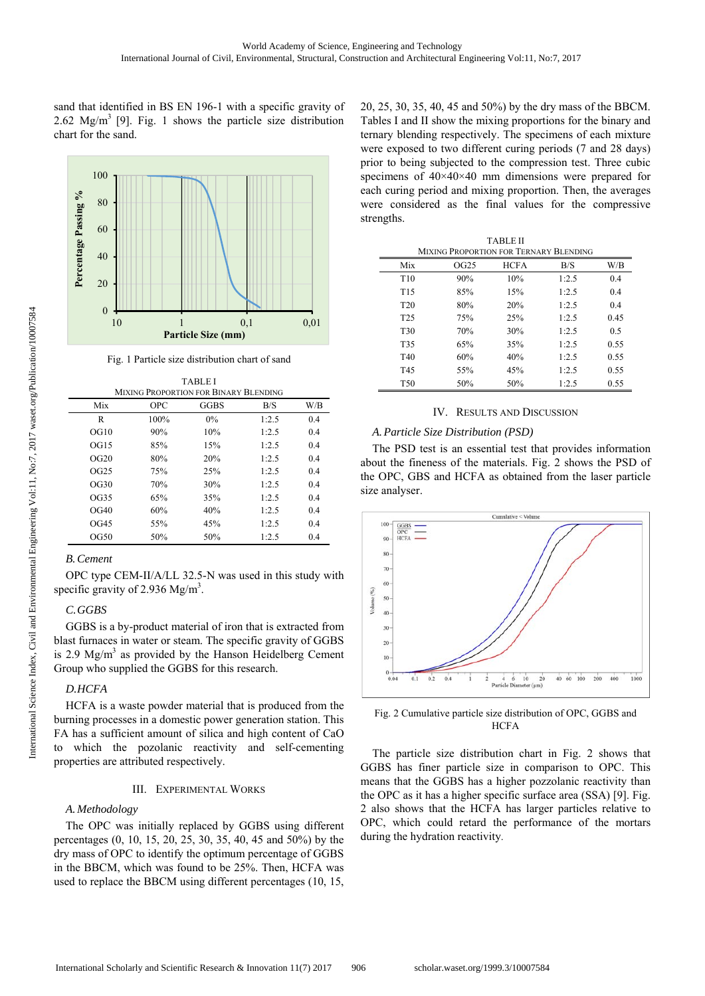sand that identified in BS EN 196-1 with a specific gravity of 2.62 Mg/m<sup>3</sup> [9]. Fig. 1 shows the particle size distribution chart for the sand.



Fig. 1 Particle size distribution chart of sand

| <b>MIXING PROPORTION FOR BINARY BLENDING</b> |            |       |       |     |  |  |
|----------------------------------------------|------------|-------|-------|-----|--|--|
| Mix                                          | <b>OPC</b> | GGBS  | B/S   | W/B |  |  |
| R                                            | 100%       | $0\%$ | 1:2.5 | 0.4 |  |  |
| OGI0                                         | 90%        | 10%   | 1:2.5 | 0.4 |  |  |
| OGI5                                         | 85%        | 15%   | 1:2.5 | 0.4 |  |  |
| OG20                                         | 80%        | 20%   | 1:2.5 | 0.4 |  |  |
| OG25                                         | 75%        | 25%   | 1:2.5 | 0.4 |  |  |
| OG30                                         | 70%        | 30%   | 1:2.5 | 0.4 |  |  |
| OG35                                         | 65%        | 35%   | 1:2.5 | 0.4 |  |  |
| OG40                                         | 60%        | 40%   | 1:2.5 | 0.4 |  |  |
| OG45                                         | 55%        | 45%   | 1:2.5 | 0.4 |  |  |
| OG50                                         | 50%        | 50%   | 1:2.5 | 0.4 |  |  |

# *B.Cement*

OPC type CEM-II/A/LL 32.5-N was used in this study with specific gravity of 2.936 Mg/m<sup>3</sup>.

#### *C.GGBS*

GGBS is a by-product material of iron that is extracted from blast furnaces in water or steam. The specific gravity of GGBS is 2.9  $Mg/m<sup>3</sup>$  as provided by the Hanson Heidelberg Cement Group who supplied the GGBS for this research.

# *D.HCFA*

HCFA is a waste powder material that is produced from the burning processes in a domestic power generation station. This FA has a sufficient amount of silica and high content of CaO to which the pozolanic reactivity and self-cementing properties are attributed respectively.

#### III. EXPERIMENTAL WORKS

# *A.Methodology*

The OPC was initially replaced by GGBS using different percentages (0, 10, 15, 20, 25, 30, 35, 40, 45 and 50%) by the dry mass of OPC to identify the optimum percentage of GGBS in the BBCM, which was found to be 25%. Then, HCFA was used to replace the BBCM using different percentages (10, 15, 20, 25, 30, 35, 40, 45 and 50%) by the dry mass of the BBCM. Tables I and II show the mixing proportions for the binary and ternary blending respectively. The specimens of each mixture were exposed to two different curing periods (7 and 28 days) prior to being subjected to the compression test. Three cubic specimens of  $40\times40\times40$  mm dimensions were prepared for each curing period and mixing proportion. Then, the averages were considered as the final values for the compressive strengths.

| <b>TABLE II</b><br>MIXING PROPORTION FOR TERNARY BLENDING |      |             |       |      |  |  |
|-----------------------------------------------------------|------|-------------|-------|------|--|--|
| Mix                                                       | OG25 | <b>HCFA</b> | B/S   | W/B  |  |  |
| T <sub>10</sub>                                           | 90%  | 10%         | 1:2.5 | 0.4  |  |  |
| T <sub>15</sub>                                           | 85%  | 15%         | 1:2.5 | 0.4  |  |  |
| T <sub>20</sub>                                           | 80%  | 20%         | 1:2.5 | 0.4  |  |  |
| T <sub>25</sub>                                           | 75%  | 25%         | 1:2.5 | 0.45 |  |  |
| T <sub>30</sub>                                           | 70%  | 30%         | 1:2.5 | 0.5  |  |  |
| T <sub>35</sub>                                           | 65%  | 35%         | 1:2.5 | 0.55 |  |  |
| T <sub>40</sub>                                           | 60%  | 40%         | 1:2.5 | 0.55 |  |  |
| T <sub>45</sub>                                           | 55%  | 45%         | 1:2.5 | 0.55 |  |  |
| T <sub>50</sub>                                           | 50%  | 50%         | 1:2.5 | 0.55 |  |  |

## IV. RESULTS AND DISCUSSION

## *A.Particle Size Distribution (PSD)*

The PSD test is an essential test that provides information about the fineness of the materials. Fig. 2 shows the PSD of the OPC, GBS and HCFA as obtained from the laser particle size analyser.



Fig. 2 Cumulative particle size distribution of OPC, GGBS and **HCFA** 

The particle size distribution chart in Fig. 2 shows that GGBS has finer particle size in comparison to OPC. This means that the GGBS has a higher pozzolanic reactivity than the OPC as it has a higher specific surface area (SSA) [9]. Fig. 2 also shows that the HCFA has larger particles relative to OPC, which could retard the performance of the mortars during the hydration reactivity.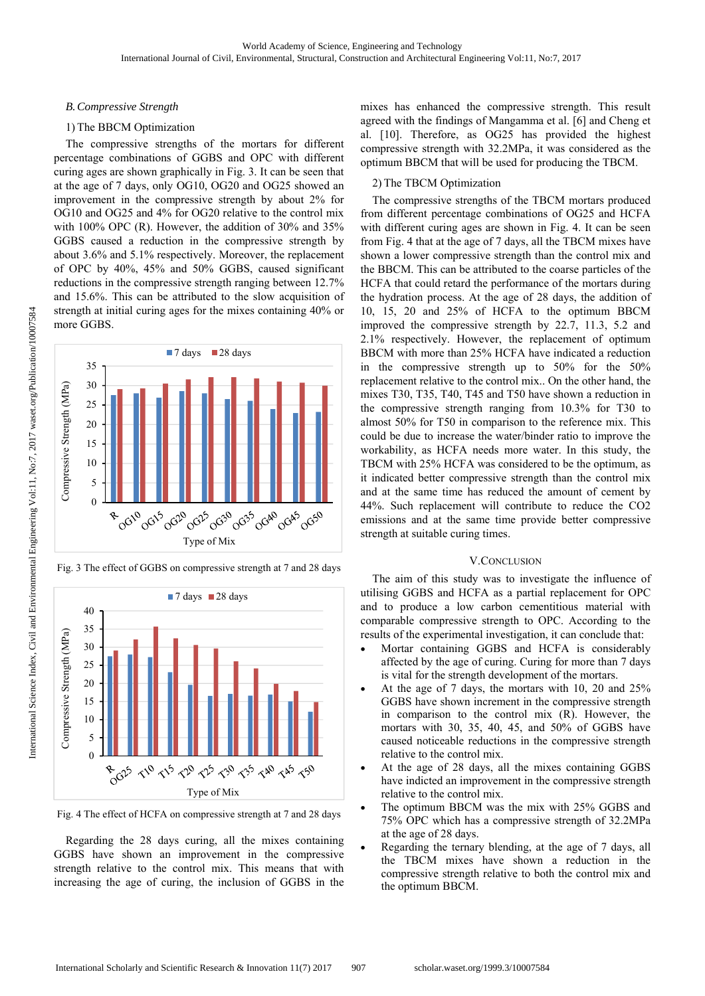#### *B.Compressive Strength*

## 1) The BBCM Optimization

The compressive strengths of the mortars for different percentage combinations of GGBS and OPC with different curing ages are shown graphically in Fig. 3. It can be seen that at the age of 7 days, only OG10, OG20 and OG25 showed an improvement in the compressive strength by about 2% for OG10 and OG25 and 4% for OG20 relative to the control mix with 100% OPC (R). However, the addition of 30% and 35% GGBS caused a reduction in the compressive strength by about 3.6% and 5.1% respectively. Moreover, the replacement of OPC by 40%, 45% and 50% GGBS, caused significant reductions in the compressive strength ranging between 12.7% and 15.6%. This can be attributed to the slow acquisition of strength at initial curing ages for the mixes containing 40% or more GGBS.



Fig. 3 The effect of GGBS on compressive strength at 7 and 28 days



Fig. 4 The effect of HCFA on compressive strength at 7 and 28 days

Regarding the 28 days curing, all the mixes containing GGBS have shown an improvement in the compressive strength relative to the control mix. This means that with increasing the age of curing, the inclusion of GGBS in the mixes has enhanced the compressive strength. This result agreed with the findings of Mangamma et al. [6] and Cheng et al. [10]. Therefore, as OG25 has provided the highest compressive strength with 32.2MPa, it was considered as the optimum BBCM that will be used for producing the TBCM.

## 2) The TBCM Optimization

The compressive strengths of the TBCM mortars produced from different percentage combinations of OG25 and HCFA with different curing ages are shown in Fig. 4. It can be seen from Fig. 4 that at the age of 7 days, all the TBCM mixes have shown a lower compressive strength than the control mix and the BBCM. This can be attributed to the coarse particles of the HCFA that could retard the performance of the mortars during the hydration process. At the age of 28 days, the addition of 10, 15, 20 and 25% of HCFA to the optimum BBCM improved the compressive strength by 22.7, 11.3, 5.2 and 2.1% respectively. However, the replacement of optimum BBCM with more than 25% HCFA have indicated a reduction in the compressive strength up to 50% for the 50% replacement relative to the control mix.. On the other hand, the mixes T30, T35, T40, T45 and T50 have shown a reduction in the compressive strength ranging from 10.3% for T30 to almost 50% for T50 in comparison to the reference mix. This could be due to increase the water/binder ratio to improve the workability, as HCFA needs more water. In this study, the TBCM with 25% HCFA was considered to be the optimum, as it indicated better compressive strength than the control mix and at the same time has reduced the amount of cement by 44%. Such replacement will contribute to reduce the CO2 emissions and at the same time provide better compressive strength at suitable curing times.

#### V.CONCLUSION

The aim of this study was to investigate the influence of utilising GGBS and HCFA as a partial replacement for OPC and to produce a low carbon cementitious material with comparable compressive strength to OPC. According to the results of the experimental investigation, it can conclude that:

- Mortar containing GGBS and HCFA is considerably affected by the age of curing. Curing for more than 7 days is vital for the strength development of the mortars.
- At the age of 7 days, the mortars with 10, 20 and 25% GGBS have shown increment in the compressive strength in comparison to the control mix (R). However, the mortars with 30, 35, 40, 45, and 50% of GGBS have caused noticeable reductions in the compressive strength relative to the control mix.
- At the age of 28 days, all the mixes containing GGBS have indicted an improvement in the compressive strength relative to the control mix.
- The optimum BBCM was the mix with 25% GGBS and 75% OPC which has a compressive strength of 32.2MPa at the age of 28 days.
- Regarding the ternary blending, at the age of 7 days, all the TBCM mixes have shown a reduction in the compressive strength relative to both the control mix and the optimum BBCM.